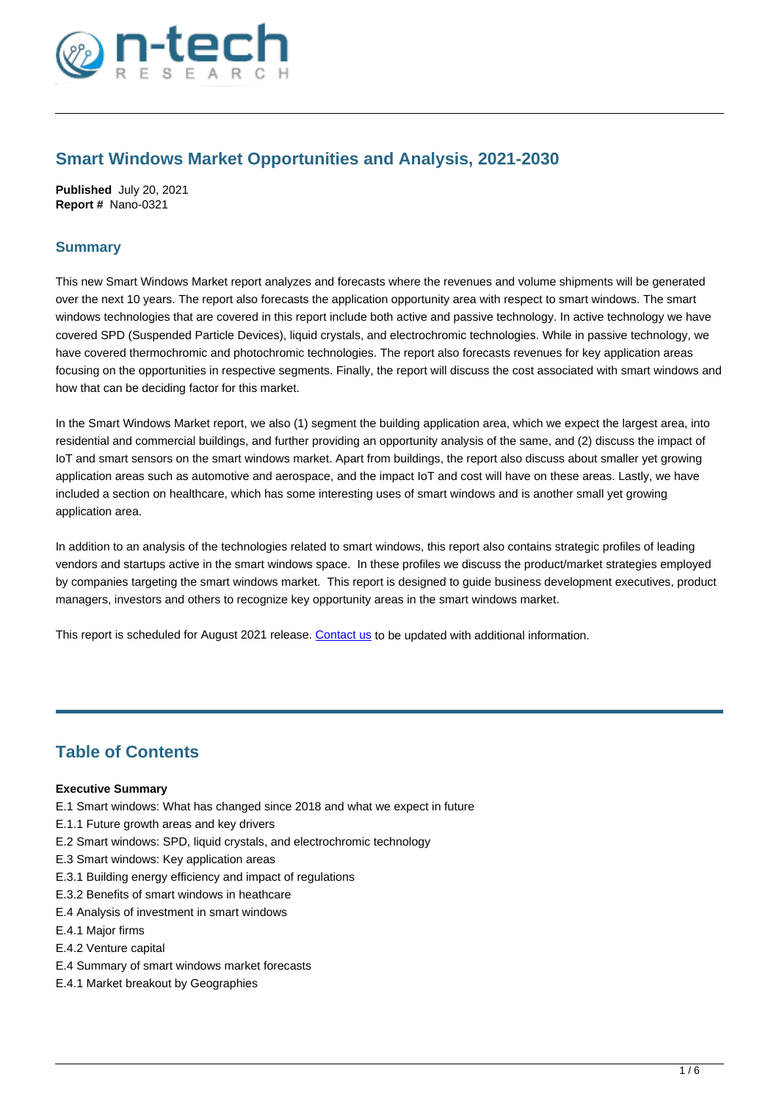

# **Smart Windows Market Opportunities and Analysis, 2021-2030**

**Published** July 20, 2021 **Report #** Nano-0321

## **Summary**

This new Smart Windows Market report analyzes and forecasts where the revenues and volume shipments will be generated over the next 10 years. The report also forecasts the application opportunity area with respect to smart windows. The smart windows technologies that are covered in this report include both active and passive technology. In active technology we have covered SPD (Suspended Particle Devices), liquid crystals, and electrochromic technologies. While in passive technology, we have covered thermochromic and photochromic technologies. The report also forecasts revenues for key application areas focusing on the opportunities in respective segments. Finally, the report will discuss the cost associated with smart windows and how that can be deciding factor for this market.

In the Smart Windows Market report, we also (1) segment the building application area, which we expect the largest area, into residential and commercial buildings, and further providing an opportunity analysis of the same, and (2) discuss the impact of IoT and smart sensors on the smart windows market. Apart from buildings, the report also discuss about smaller yet growing application areas such as automotive and aerospace, and the impact IoT and cost will have on these areas. Lastly, we have included a section on healthcare, which has some interesting uses of smart windows and is another small yet growing application area.

In addition to an analysis of the technologies related to smart windows, this report also contains strategic profiles of leading vendors and startups active in the smart windows space. In these profiles we discuss the product/market strategies employed by companies targeting the smart windows market. This report is designed to guide business development executives, product managers, investors and others to recognize key opportunity areas in the smart windows market.

This report is scheduled for August 2021 release. [Contact us](https://www.ntechresearch.com/contact-us/) to be updated with additional information.

# **Table of Contents**

### **Executive Summary**

- E.1 Smart windows: What has changed since 2018 and what we expect in future
- E.1.1 Future growth areas and key drivers
- E.2 Smart windows: SPD, liquid crystals, and electrochromic technology
- E.3 Smart windows: Key application areas
- E.3.1 Building energy efficiency and impact of regulations
- E.3.2 Benefits of smart windows in heathcare
- E.4 Analysis of investment in smart windows
- E.4.1 Major firms
- E.4.2 Venture capital
- E.4 Summary of smart windows market forecasts
- E.4.1 Market breakout by Geographies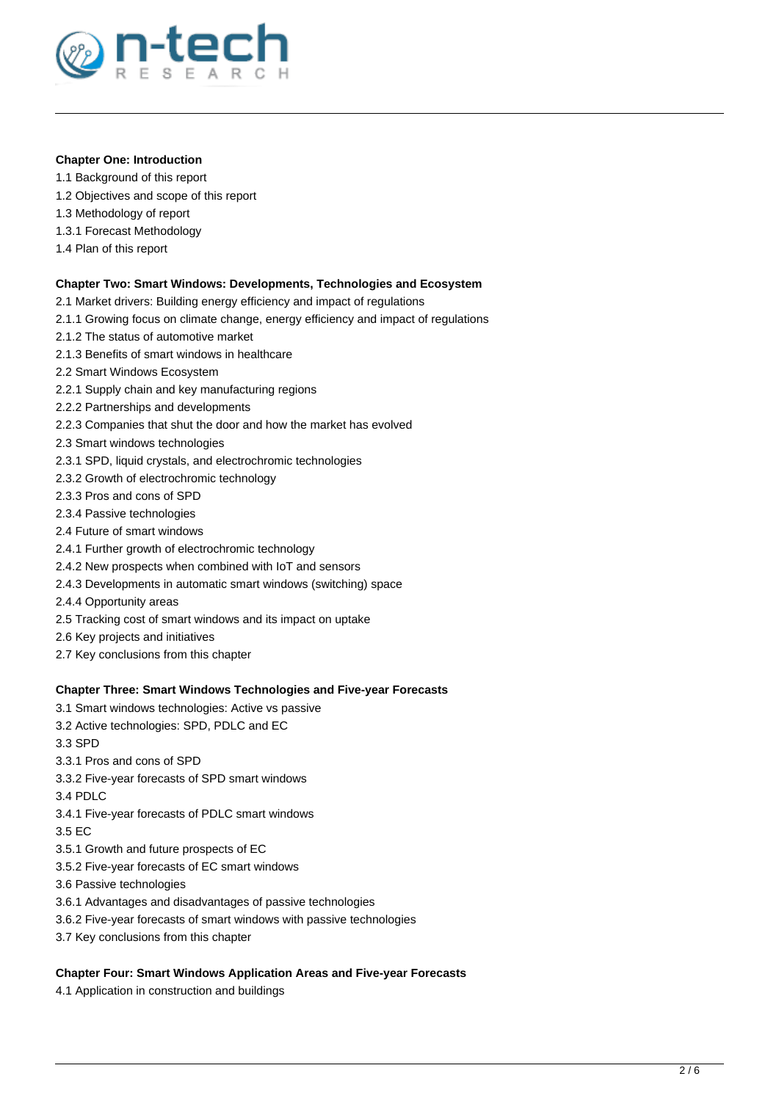

## **Chapter One: Introduction**

- 1.1 Background of this report
- 1.2 Objectives and scope of this report
- 1.3 Methodology of report
- 1.3.1 Forecast Methodology
- 1.4 Plan of this report

### **Chapter Two: Smart Windows: Developments, Technologies and Ecosystem**

- 2.1 Market drivers: Building energy efficiency and impact of regulations
- 2.1.1 Growing focus on climate change, energy efficiency and impact of regulations
- 2.1.2 The status of automotive market
- 2.1.3 Benefits of smart windows in healthcare
- 2.2 Smart Windows Ecosystem
- 2.2.1 Supply chain and key manufacturing regions
- 2.2.2 Partnerships and developments
- 2.2.3 Companies that shut the door and how the market has evolved
- 2.3 Smart windows technologies
- 2.3.1 SPD, liquid crystals, and electrochromic technologies
- 2.3.2 Growth of electrochromic technology
- 2.3.3 Pros and cons of SPD
- 2.3.4 Passive technologies
- 2.4 Future of smart windows
- 2.4.1 Further growth of electrochromic technology
- 2.4.2 New prospects when combined with IoT and sensors
- 2.4.3 Developments in automatic smart windows (switching) space
- 2.4.4 Opportunity areas
- 2.5 Tracking cost of smart windows and its impact on uptake
- 2.6 Key projects and initiatives
- 2.7 Key conclusions from this chapter

### **Chapter Three: Smart Windows Technologies and Five-year Forecasts**

- 3.1 Smart windows technologies: Active vs passive
- 3.2 Active technologies: SPD, PDLC and EC
- 3.3 SPD
- 3.3.1 Pros and cons of SPD
- 3.3.2 Five-year forecasts of SPD smart windows
- 3.4 PDLC
- 3.4.1 Five-year forecasts of PDLC smart windows
- 3.5 EC
- 3.5.1 Growth and future prospects of EC
- 3.5.2 Five-year forecasts of EC smart windows
- 3.6 Passive technologies
- 3.6.1 Advantages and disadvantages of passive technologies
- 3.6.2 Five-year forecasts of smart windows with passive technologies
- 3.7 Key conclusions from this chapter

## **Chapter Four: Smart Windows Application Areas and Five-year Forecasts**

4.1 Application in construction and buildings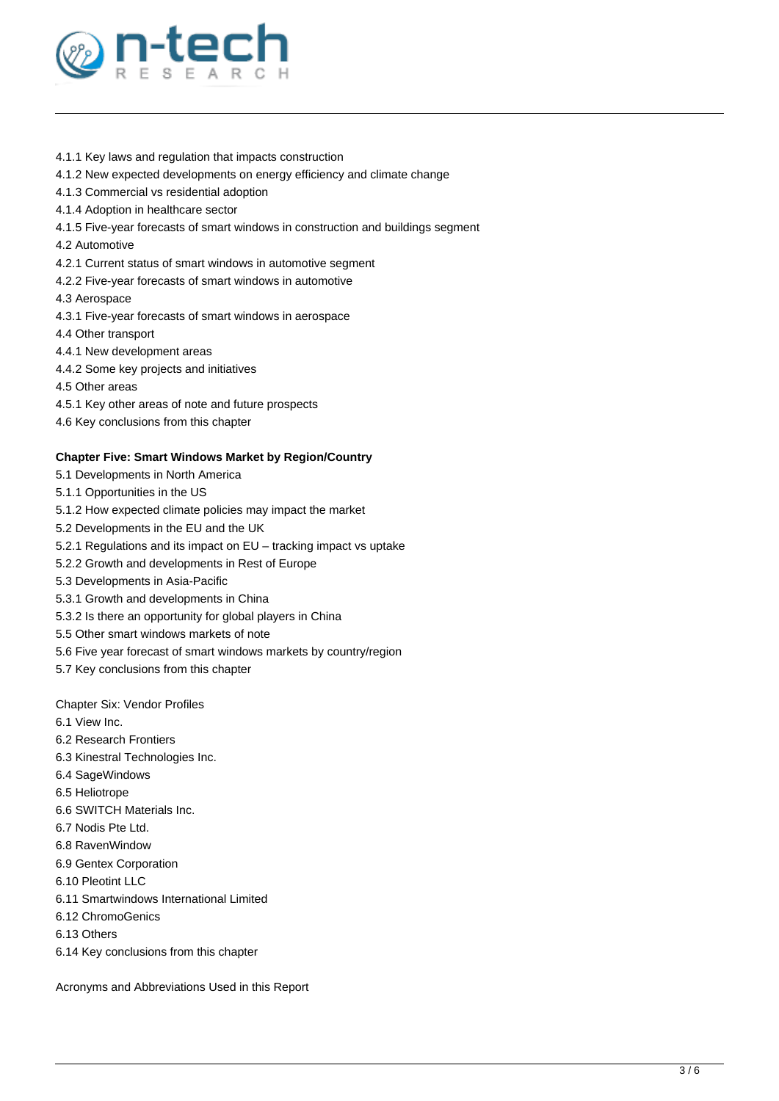

- 4.1.1 Key laws and regulation that impacts construction
- 4.1.2 New expected developments on energy efficiency and climate change
- 4.1.3 Commercial vs residential adoption
- 4.1.4 Adoption in healthcare sector
- 4.1.5 Five-year forecasts of smart windows in construction and buildings segment
- 4.2 Automotive
- 4.2.1 Current status of smart windows in automotive segment
- 4.2.2 Five-year forecasts of smart windows in automotive
- 4.3 Aerospace
- 4.3.1 Five-year forecasts of smart windows in aerospace
- 4.4 Other transport
- 4.4.1 New development areas
- 4.4.2 Some key projects and initiatives
- 4.5 Other areas
- 4.5.1 Key other areas of note and future prospects
- 4.6 Key conclusions from this chapter

#### **Chapter Five: Smart Windows Market by Region/Country**

- 5.1 Developments in North America
- 5.1.1 Opportunities in the US
- 5.1.2 How expected climate policies may impact the market
- 5.2 Developments in the EU and the UK
- 5.2.1 Regulations and its impact on EU tracking impact vs uptake
- 5.2.2 Growth and developments in Rest of Europe
- 5.3 Developments in Asia-Pacific
- 5.3.1 Growth and developments in China
- 5.3.2 Is there an opportunity for global players in China
- 5.5 Other smart windows markets of note
- 5.6 Five year forecast of smart windows markets by country/region
- 5.7 Key conclusions from this chapter

Chapter Six: Vendor Profiles

- 6.1 View Inc.
- 6.2 Research Frontiers
- 6.3 Kinestral Technologies Inc.
- 6.4 SageWindows
- 6.5 Heliotrope
- 6.6 SWITCH Materials Inc.
- 6.7 Nodis Pte Ltd.
- 6.8 RavenWindow
- 6.9 Gentex Corporation
- 6.10 Pleotint LLC
- 6.11 Smartwindows International Limited
- 6.12 ChromoGenics
- 6.13 Others
- 6.14 Key conclusions from this chapter

Acronyms and Abbreviations Used in this Report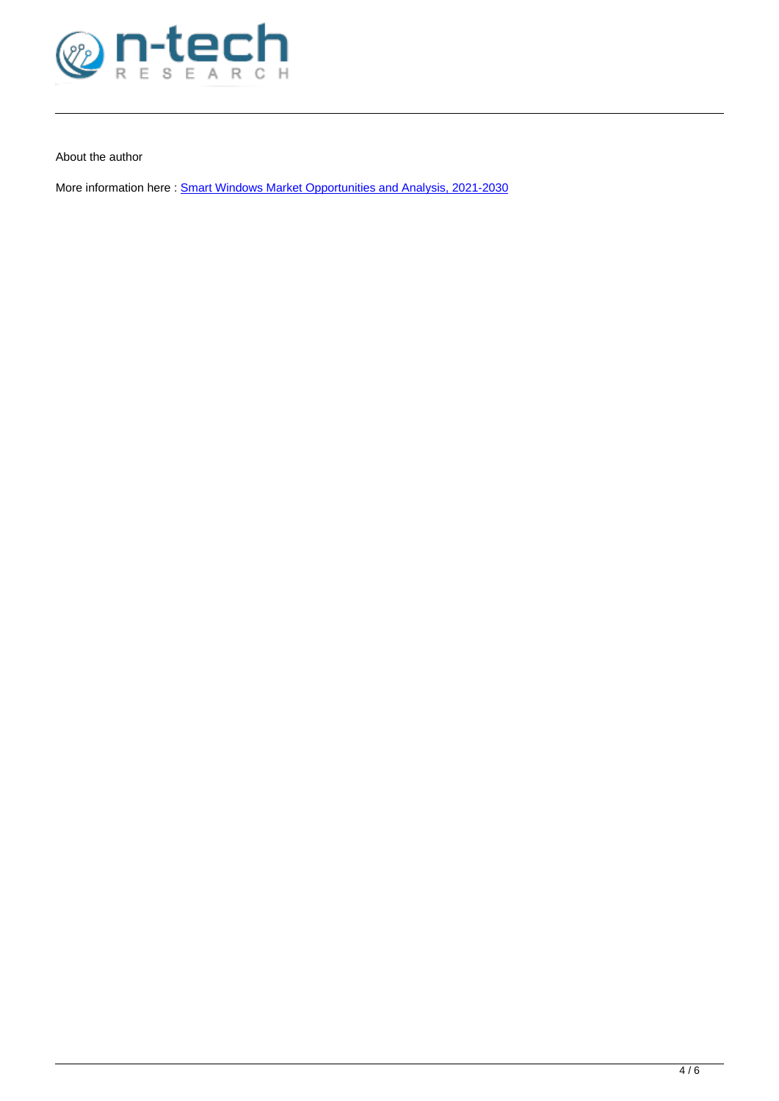

About the author

More information here : [Smart Windows Market Opportunities and Analysis, 2021-2030](https://www.ntechresearch.com/market-reports/smart-windows-market-opportunities/)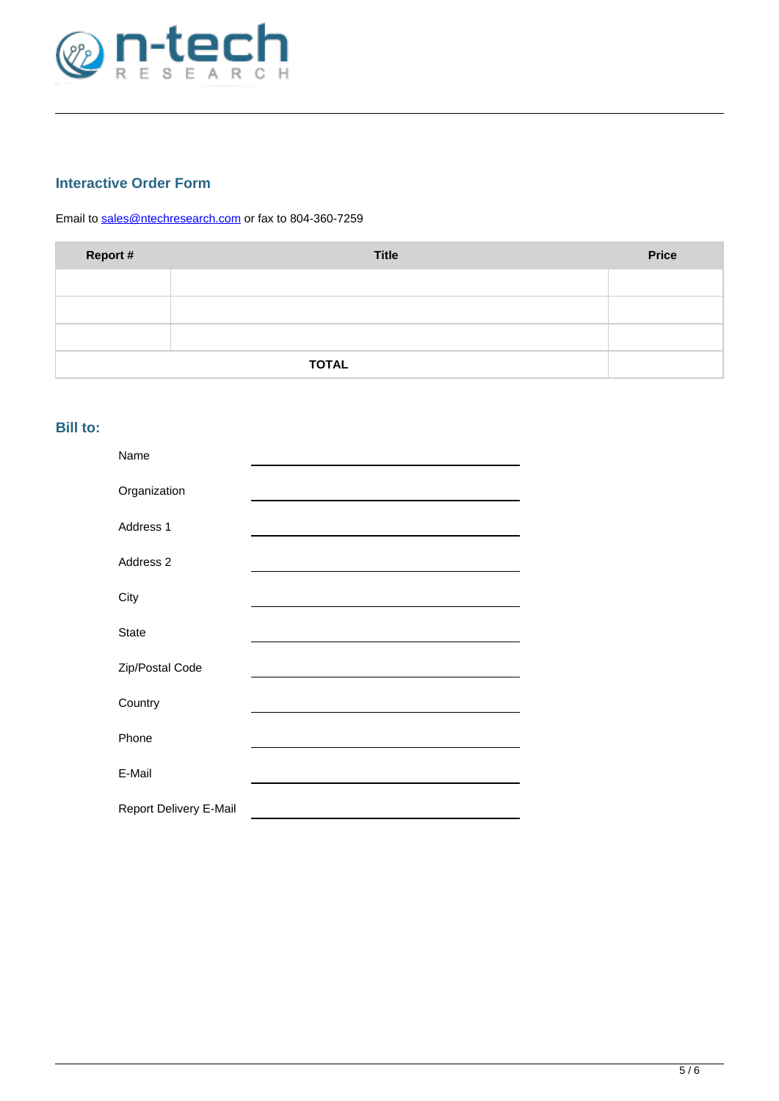

# **Interactive Order Form**

Email to [sales@ntechresearch.com](mailto:sales@ntechresearch.com) or fax to 804-360-7259

| Report #     | <b>Title</b> | <b>Price</b> |
|--------------|--------------|--------------|
|              |              |              |
|              |              |              |
|              |              |              |
| <b>TOTAL</b> |              |              |

# **Bill to:**

| Name                   |  |
|------------------------|--|
| Organization           |  |
| Address 1              |  |
| Address 2              |  |
| City                   |  |
| <b>State</b>           |  |
| Zip/Postal Code        |  |
| Country                |  |
| Phone                  |  |
| E-Mail                 |  |
| Report Delivery E-Mail |  |